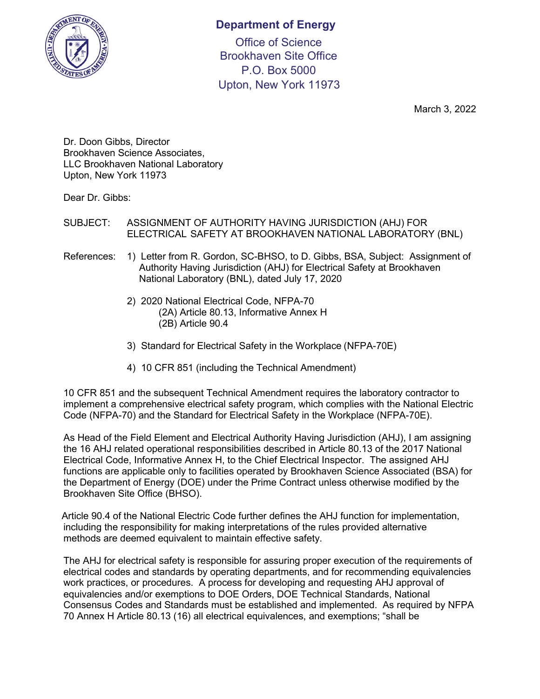

## **Department of Energy**

Office of Science Brookhaven Site Office P.O. Box 5000 Upton, New York 11973

March 3, 2022

Dr. Doon Gibbs, Director Brookhaven Science Associates, LLC Brookhaven National Laboratory Upton, New York 11973

Dear Dr. Gibbs:

- SUBJECT: ASSIGNMENT OF AUTHORITY HAVING JURISDICTION (AHJ) FOR ELECTRICAL SAFETY AT BROOKHAVEN NATIONAL LABORATORY (BNL)
- References: 1) Letter from R. Gordon, SC-BHSO, to D. Gibbs, BSA, Subject: Assignment of Authority Having Jurisdiction (AHJ) for Electrical Safety at Brookhaven National Laboratory (BNL), dated July 17, 2020
	- 2) 2020 National Electrical Code, NFPA-70 (2A) Article 80.13, Informative Annex H (2B) Article 90.4
	- 3) Standard for Electrical Safety in the Workplace (NFPA-70E)
	- 4) 10 CFR 851 (including the Technical Amendment)

10 CFR 851 and the subsequent Technical Amendment requires the laboratory contractor to implement a comprehensive electrical safety program, which complies with the National Electric Code (NFPA-70) and the Standard for Electrical Safety in the Workplace (NFPA-70E).

As Head of the Field Element and Electrical Authority Having Jurisdiction (AHJ), I am assigning the 16 AHJ related operational responsibilities described in Article 80.13 of the 2017 National Electrical Code, Informative Annex H, to the Chief Electrical Inspector. The assigned AHJ functions are applicable only to facilities operated by Brookhaven Science Associated (BSA) for the Department of Energy (DOE) under the Prime Contract unless otherwise modified by the Brookhaven Site Office (BHSO).

Article 90.4 of the National Electric Code further defines the AHJ function for implementation, including the responsibility for making interpretations of the rules provided alternative methods are deemed equivalent to maintain effective safety.

The AHJ for electrical safety is responsible for assuring proper execution of the requirements of electrical codes and standards by operating departments, and for recommending equivalencies work practices, or procedures. A process for developing and requesting AHJ approval of equivalencies and/or exemptions to DOE Orders, DOE Technical Standards, National Consensus Codes and Standards must be established and implemented. As required by NFPA 70 Annex H Article 80.13 (16) all electrical equivalences, and exemptions; "shall be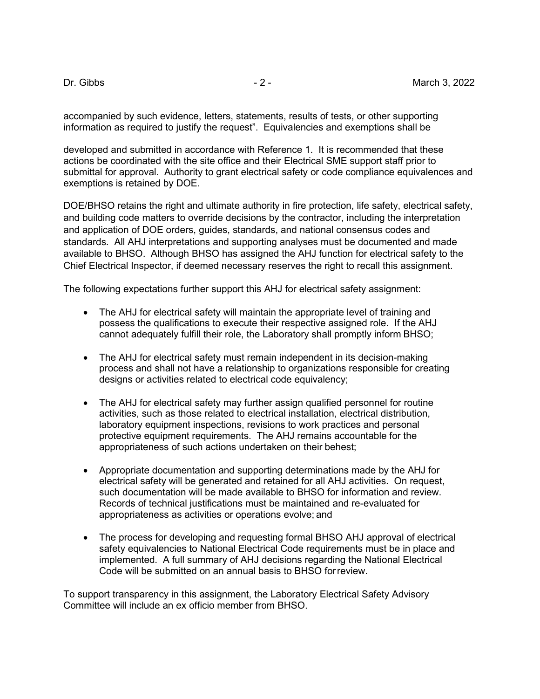accompanied by such evidence, letters, statements, results of tests, or other supporting information as required to justify the request". Equivalencies and exemptions shall be

developed and submitted in accordance with Reference 1. It is recommended that these actions be coordinated with the site office and their Electrical SME support staff prior to submittal for approval. Authority to grant electrical safety or code compliance equivalences and exemptions is retained by DOE.

DOE/BHSO retains the right and ultimate authority in fire protection, life safety, electrical safety, and building code matters to override decisions by the contractor, including the interpretation and application of DOE orders, guides, standards, and national consensus codes and standards. All AHJ interpretations and supporting analyses must be documented and made available to BHSO. Although BHSO has assigned the AHJ function for electrical safety to the Chief Electrical Inspector, if deemed necessary reserves the right to recall this assignment.

The following expectations further support this AHJ for electrical safety assignment:

- The AHJ for electrical safety will maintain the appropriate level of training and possess the qualifications to execute their respective assigned role. If the AHJ cannot adequately fulfill their role, the Laboratory shall promptly inform BHSO;
- The AHJ for electrical safety must remain independent in its decision-making process and shall not have a relationship to organizations responsible for creating designs or activities related to electrical code equivalency;
- The AHJ for electrical safety may further assign qualified personnel for routine activities, such as those related to electrical installation, electrical distribution, laboratory equipment inspections, revisions to work practices and personal protective equipment requirements. The AHJ remains accountable for the appropriateness of such actions undertaken on their behest;
- Appropriate documentation and supporting determinations made by the AHJ for electrical safety will be generated and retained for all AHJ activities. On request, such documentation will be made available to BHSO for information and review. Records of technical justifications must be maintained and re-evaluated for appropriateness as activities or operations evolve; and
- The process for developing and requesting formal BHSO AHJ approval of electrical safety equivalencies to National Electrical Code requirements must be in place and implemented. A full summary of AHJ decisions regarding the National Electrical Code will be submitted on an annual basis to BHSO forreview.

To support transparency in this assignment, the Laboratory Electrical Safety Advisory Committee will include an ex officio member from BHSO.